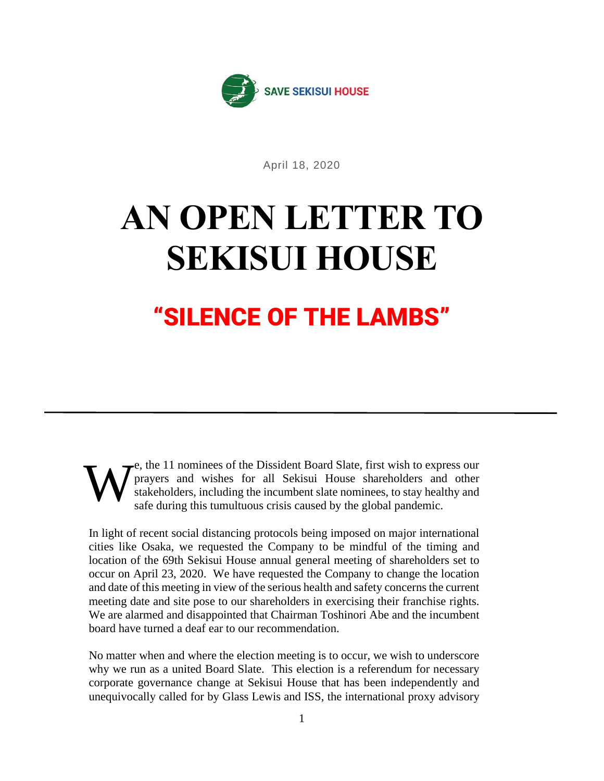

April 18, 2020

## **AN OPEN LETTER TO SEKISUI HOUSE**

## "SILENCE OF THE LAMBS"

e, the 11 nominees of the Dissident Board Slate, first wish to express our prayers and wishes for all Sekisui House shareholders and other stakeholders, including the incumbent slate nominees, to stay healthy and safe during this tumultuous crisis caused by the global pandemic. W

In light of recent social distancing protocols being imposed on major international cities like Osaka, we requested the Company to be mindful of the timing and location of the 69th Sekisui House annual general meeting of shareholders set to occur on April 23, 2020. We have requested the Company to change the location and date of this meeting in view of the serious health and safety concerns the current meeting date and site pose to our shareholders in exercising their franchise rights. We are alarmed and disappointed that Chairman Toshinori Abe and the incumbent board have turned a deaf ear to our recommendation.

No matter when and where the election meeting is to occur, we wish to underscore why we run as a united Board Slate. This election is a referendum for necessary corporate governance change at Sekisui House that has been independently and unequivocally called for by Glass Lewis and ISS, the international proxy advisory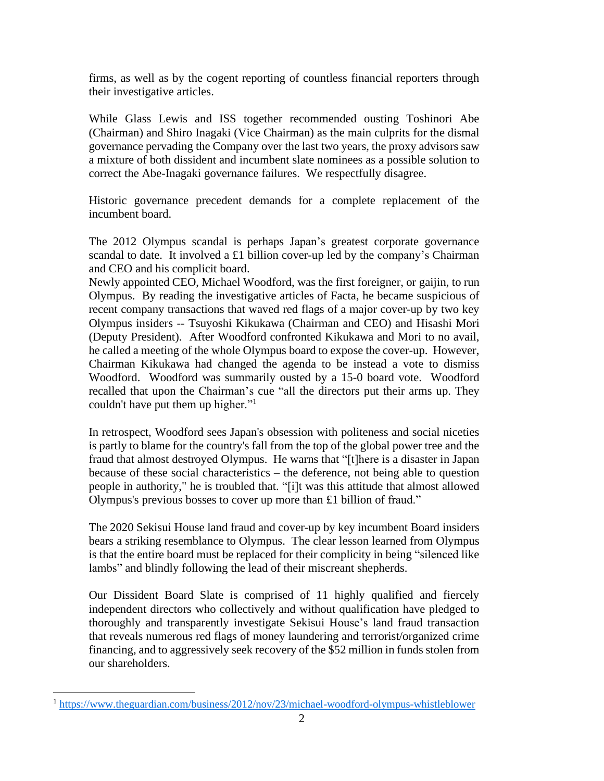firms, as well as by the cogent reporting of countless financial reporters through their investigative articles.

While Glass Lewis and ISS together recommended ousting Toshinori Abe (Chairman) and Shiro Inagaki (Vice Chairman) as the main culprits for the dismal governance pervading the Company over the last two years, the proxy advisors saw a mixture of both dissident and incumbent slate nominees as a possible solution to correct the Abe-Inagaki governance failures. We respectfully disagree.

Historic governance precedent demands for a complete replacement of the incumbent board.

The 2012 Olympus scandal is perhaps Japan's greatest corporate governance scandal to date. It involved a £1 billion cover-up led by the company's Chairman and CEO and his complicit board.

Newly appointed CEO, Michael Woodford, was the first foreigner, or gaijin, to run Olympus. By reading the investigative articles of Facta, he became suspicious of recent company transactions that waved red flags of a major cover-up by two key Olympus insiders -- Tsuyoshi Kikukawa (Chairman and CEO) and Hisashi Mori (Deputy President). After Woodford confronted Kikukawa and Mori to no avail, he called a meeting of the whole Olympus board to expose the cover-up. However, Chairman Kikukawa had changed the agenda to be instead a vote to dismiss Woodford. Woodford was summarily ousted by a 15-0 board vote. Woodford recalled that upon the Chairman's cue "all the directors put their arms up. They couldn't have put them up higher."<sup>1</sup>

In retrospect, Woodford sees Japan's obsession with politeness and social niceties is partly to blame for the country's fall from the top of the global power tree and the fraud that almost destroyed Olympus. He warns that "[t]here is a disaster in Japan because of these social characteristics – the deference, not being able to question people in authority," he is troubled that. "[i]t was this attitude that almost allowed Olympus's previous bosses to cover up more than £1 billion of fraud."

The 2020 Sekisui House land fraud and cover-up by key incumbent Board insiders bears a striking resemblance to Olympus. The clear lesson learned from Olympus is that the entire board must be replaced for their complicity in being "silenced like lambs" and blindly following the lead of their miscreant shepherds.

Our Dissident Board Slate is comprised of 11 highly qualified and fiercely independent directors who collectively and without qualification have pledged to thoroughly and transparently investigate Sekisui House's land fraud transaction that reveals numerous red flags of money laundering and terrorist/organized crime financing, and to aggressively seek recovery of the \$52 million in funds stolen from our shareholders.

<sup>1</sup> <https://www.theguardian.com/business/2012/nov/23/michael-woodford-olympus-whistleblower>